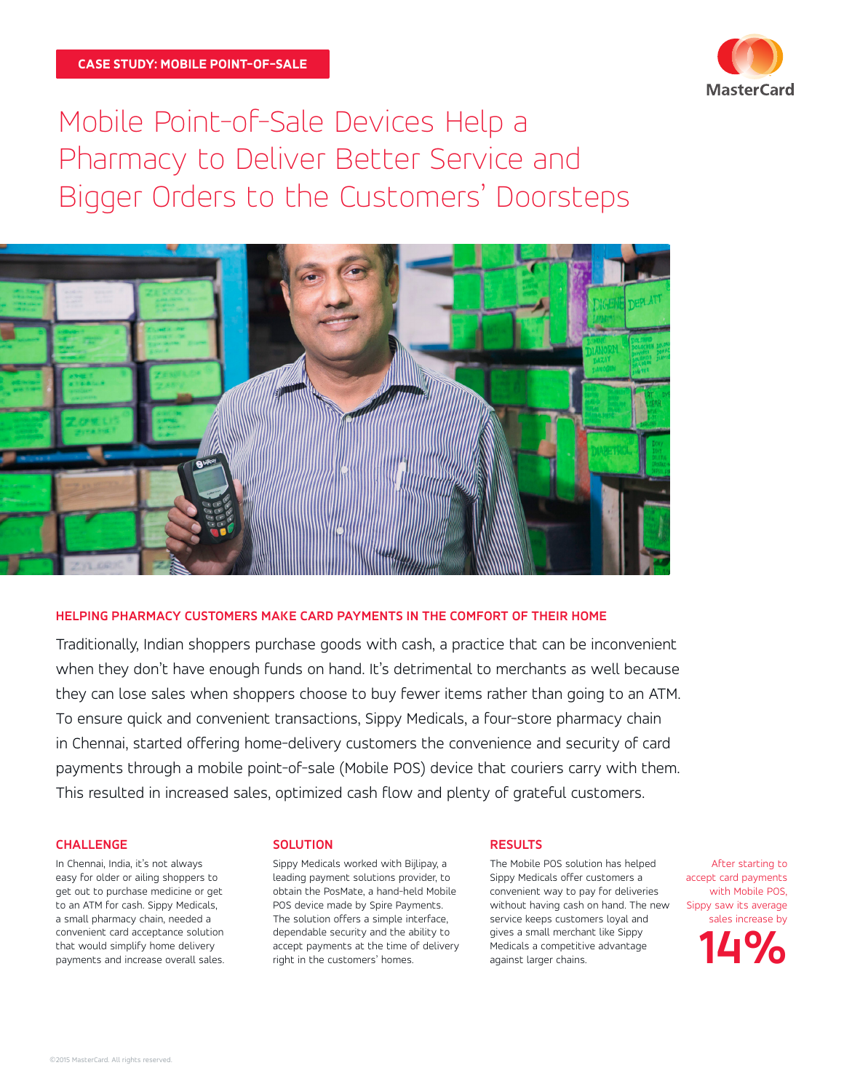

Mobile Point-of-Sale Devices Help a Pharmacy to Deliver Better Service and Bigger Orders to the Customers' Doorsteps



## **HELPING PHARMACY CUSTOMERS MAKE CARD PAYMENTS IN THE COMFORT OF THEIR HOME**

Traditionally, Indian shoppers purchase goods with cash, a practice that can be inconvenient when they don't have enough funds on hand. It's detrimental to merchants as well because they can lose sales when shoppers choose to buy fewer items rather than going to an ATM. To ensure quick and convenient transactions, Sippy Medicals, a four-store pharmacy chain in Chennai, started offering home-delivery customers the convenience and security of card payments through a mobile point-of-sale (Mobile POS) device that couriers carry with them. This resulted in increased sales, optimized cash flow and plenty of grateful customers.

#### **CHALLENGE**

In Chennai, India, it's not always easy for older or ailing shoppers to get out to purchase medicine or get to an ATM for cash. Sippy Medicals, a small pharmacy chain, needed a convenient card acceptance solution that would simplify home delivery payments and increase overall sales.

#### **SOLUTION**

Sippy Medicals worked with Bijlipay, a leading payment solutions provider, to obtain the PosMate, a hand-held Mobile POS device made by Spire Payments. The solution offers a simple interface, dependable security and the ability to accept payments at the time of delivery right in the customers' homes.

## **RESULTS**

The Mobile POS solution has helped Sippy Medicals offer customers a convenient way to pay for deliveries without having cash on hand. The new service keeps customers loyal and gives a small merchant like Sippy Medicals a competitive advantage against larger chains.

After starting to accept card payments with Mobile POS, Sippy saw its average sales increase by

**14%**